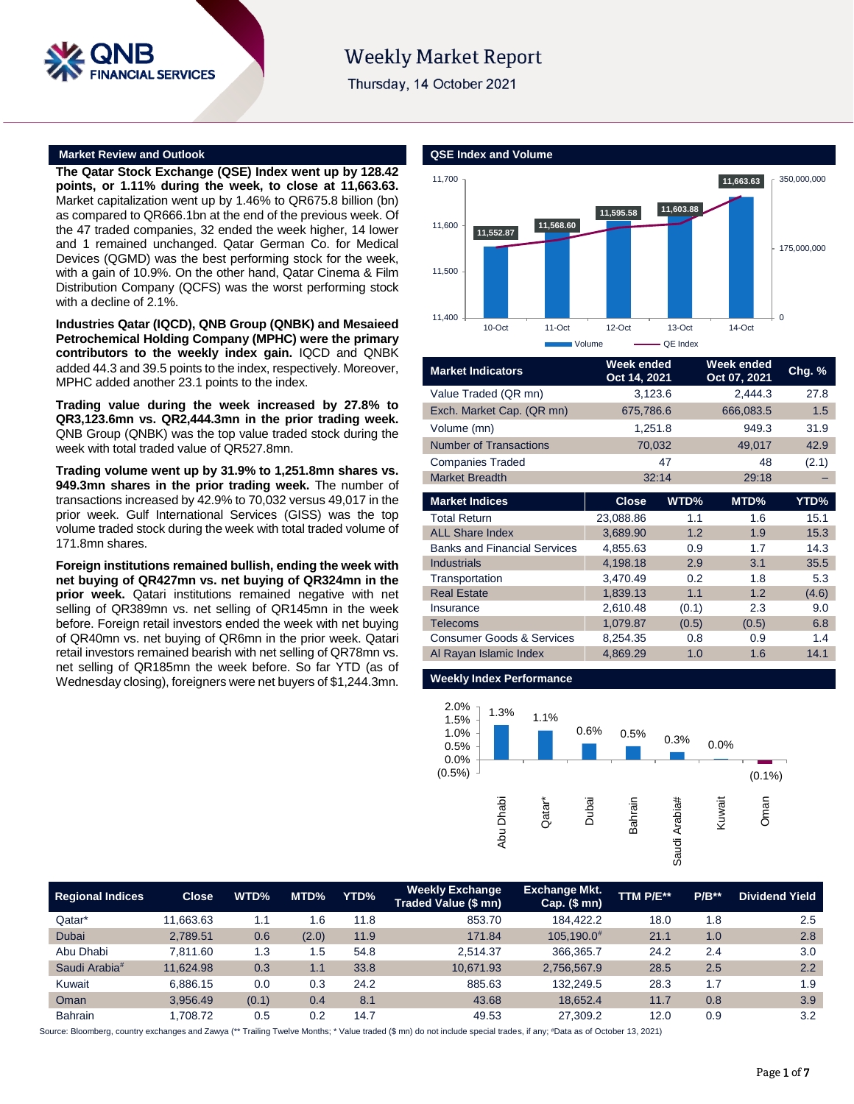

# **Weekly Market Report**

Thursday, 14 October 2021

### **Market Review and Outlook QSE Index and Volume**

**The Qatar Stock Exchange (QSE) Index went up by 128.42 points, or 1.11% during the week, to close at 11,663.63.** Market capitalization went up by 1.46% to QR675.8 billion (bn) as compared to QR666.1bn at the end of the previous week. Of the 47 traded companies, 32 ended the week higher, 14 lower and 1 remained unchanged. Qatar German Co. for Medical Devices (QGMD) was the best performing stock for the week, with a gain of 10.9%. On the other hand, Qatar Cinema & Film Distribution Company (QCFS) was the worst performing stock with a decline of 2.1%.

**Industries Qatar (IQCD), QNB Group (QNBK) and Mesaieed Petrochemical Holding Company (MPHC) were the primary contributors to the weekly index gain.** IQCD and QNBK added 44.3 and 39.5 points to the index, respectively. Moreover, MPHC added another 23.1 points to the index.

**Trading value during the week increased by 27.8% to QR3,123.6mn vs. QR2,444.3mn in the prior trading week.** QNB Group (QNBK) was the top value traded stock during the week with total traded value of QR527.8mn.

**Trading volume went up by 31.9% to 1,251.8mn shares vs. 949.3mn shares in the prior trading week.** The number of transactions increased by 42.9% to 70,032 versus 49,017 in the prior week. Gulf International Services (GISS) was the top volume traded stock during the week with total traded volume of 171.8mn shares.

**Foreign institutions remained bullish, ending the week with net buying of QR427mn vs. net buying of QR324mn in the prior week.** Qatari institutions remained negative with net selling of QR389mn vs. net selling of QR145mn in the week before. Foreign retail investors ended the week with net buying of QR40mn vs. net buying of QR6mn in the prior week. Qatari retail investors remained bearish with net selling of QR78mn vs. net selling of QR185mn the week before. So far YTD (as of Wednesday closing), foreigners were net buyers of \$1,244.3mn.



| <b>Market Indicators</b>             | Week ended<br>Oct 14, 2021 |       | Week ended<br>Oct 07, 2021 | Chg. % |
|--------------------------------------|----------------------------|-------|----------------------------|--------|
| Value Traded (QR mn)                 | 3,123.6                    |       | 2.444.3                    | 27.8   |
| Exch. Market Cap. (QR mn)            | 675,786.6                  |       | 666,083.5                  | 1.5    |
| Volume (mn)                          | 1,251.8                    |       | 949.3                      | 31.9   |
| <b>Number of Transactions</b>        | 70,032                     |       | 49,017                     | 42.9   |
| <b>Companies Traded</b>              |                            | 47    | 48                         | (2.1)  |
| <b>Market Breadth</b>                |                            | 32:14 | 29:18                      |        |
| <b>Market Indices</b>                | <b>Close</b>               | WTD%  | MTD%                       | YTD%   |
| <b>Total Return</b>                  | 23,088.86                  | 1.1   | 1.6                        | 15.1   |
| <b>ALL Share Index</b>               | 3,689.90                   | 1.2   | 1.9                        | 15.3   |
| <b>Banks and Financial Services</b>  | 4,855.63                   | 0.9   | 1.7                        | 14.3   |
| <b>Industrials</b>                   | 4,198.18                   | 2.9   | 3.1                        | 35.5   |
| Transportation                       | 3,470.49                   | 0.2   | 1.8                        | 5.3    |
| <b>Real Estate</b>                   | 1,839.13                   | 1.1   | 1.2                        | (4.6)  |
| Insurance                            | 2,610.48                   | (0.1) | 2.3                        | 9.0    |
| <b>Telecoms</b>                      | 1,079.87                   | (0.5) | (0.5)                      | 6.8    |
| <b>Consumer Goods &amp; Services</b> | 8,254.35                   | 0.8   | 0.9                        | 1.4    |
| Al Rayan Islamic Index               | 4,869.29                   | 1.0   | 1.6                        | 14.1   |

### **Weekly Index Performance**



| <b>Regional Indices</b>   | <b>Close</b> | WTD%  | MTD%  | YTD% | <b>Weekly Exchange</b><br>Traded Value (\$ mn) | <b>Exchange Mkt.</b><br>Cap. $($mn)$ | TTM P/E** | $P/B**$ | <b>Dividend Yield</b> |
|---------------------------|--------------|-------|-------|------|------------------------------------------------|--------------------------------------|-----------|---------|-----------------------|
| Qatar*                    | 11.663.63    | 1.1   | 1.6   | 11.8 | 853.70                                         | 184.422.2                            | 18.0      | 1.8     | 2.5                   |
| Dubai                     | 2,789.51     | 0.6   | (2.0) | 11.9 | 171.84                                         | 105,190.0#                           | 21.1      | 1.0     | 2.8                   |
| Abu Dhabi                 | 7.811.60     | 1.3   | 1.5   | 54.8 | 2.514.37                                       | 366,365.7                            | 24.2      | 2.4     | 3.0                   |
| Saudi Arabia <sup>#</sup> | 11.624.98    | 0.3   | 1.1   | 33.8 | 10.671.93                                      | 2,756,567.9                          | 28.5      | 2.5     | 2.2                   |
| Kuwait                    | 6.886.15     | 0.0   | 0.3   | 24.2 | 885.63                                         | 132,249.5                            | 28.3      | 1.7     | 1.9                   |
| Oman                      | 3.956.49     | (0.1) | 0.4   | 8.1  | 43.68                                          | 18.652.4                             | 11.7      | 0.8     | 3.9                   |
| <b>Bahrain</b>            | 1,708.72     | 0.5   | 0.2   | 14.7 | 49.53                                          | 27,309.2                             | 12.0      | 0.9     | 3.2                   |

Source: Bloomberg, country exchanges and Zawya (\*\* Trailing Twelve Months; \* Value traded (\$ mn) do not include special trades, if any; #Data as of October 13, 2021)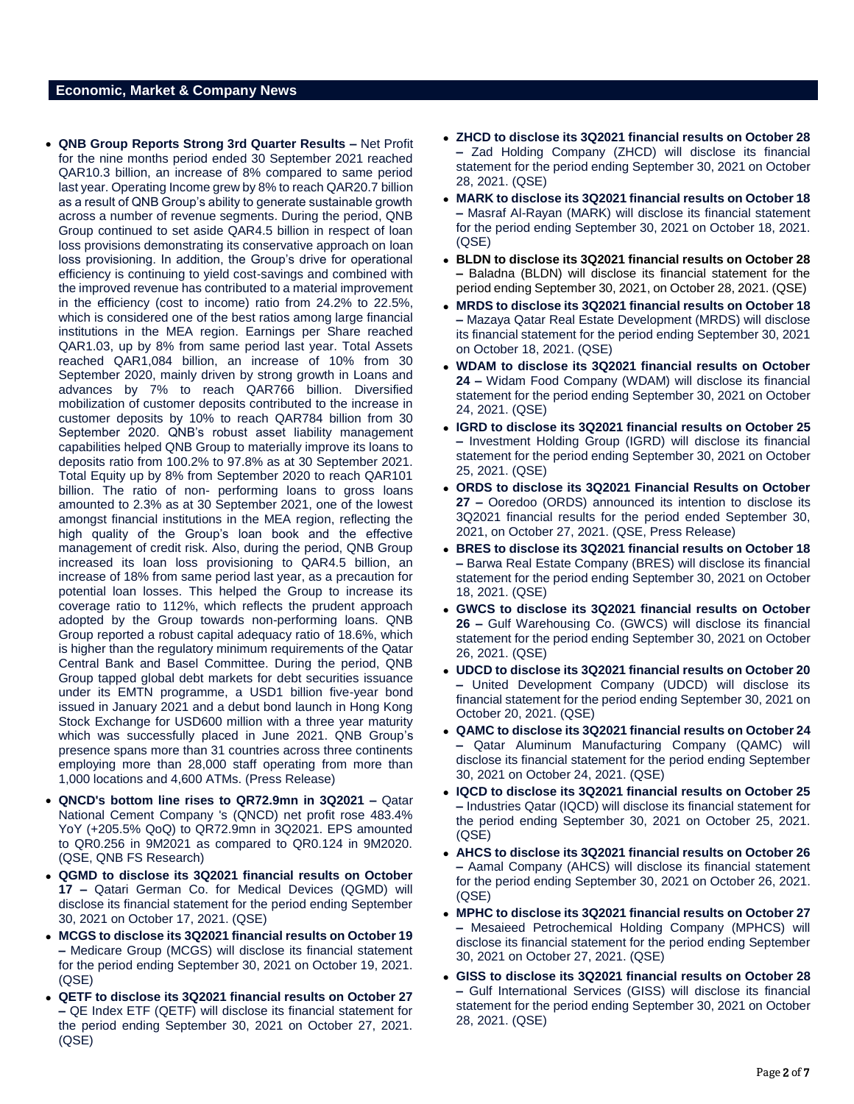# **Economic, Market & Company News**

- **QNB Group Reports Strong 3rd Quarter Results –** Net Profit for the nine months period ended 30 September 2021 reached QAR10.3 billion, an increase of 8% compared to same period last year. Operating Income grew by 8% to reach QAR20.7 billion as a result of QNB Group's ability to generate sustainable growth across a number of revenue segments. During the period, QNB Group continued to set aside QAR4.5 billion in respect of loan loss provisions demonstrating its conservative approach on loan loss provisioning. In addition, the Group's drive for operational efficiency is continuing to yield cost-savings and combined with the improved revenue has contributed to a material improvement in the efficiency (cost to income) ratio from 24.2% to 22.5%, which is considered one of the best ratios among large financial institutions in the MEA region. Earnings per Share reached QAR1.03, up by 8% from same period last year. Total Assets reached QAR1,084 billion, an increase of 10% from 30 September 2020, mainly driven by strong growth in Loans and advances by 7% to reach QAR766 billion. Diversified mobilization of customer deposits contributed to the increase in customer deposits by 10% to reach QAR784 billion from 30 September 2020. QNB's robust asset liability management capabilities helped QNB Group to materially improve its loans to deposits ratio from 100.2% to 97.8% as at 30 September 2021. Total Equity up by 8% from September 2020 to reach QAR101 billion. The ratio of non- performing loans to gross loans amounted to 2.3% as at 30 September 2021, one of the lowest amongst financial institutions in the MEA region, reflecting the high quality of the Group's loan book and the effective management of credit risk. Also, during the period, QNB Group increased its loan loss provisioning to QAR4.5 billion, an increase of 18% from same period last year, as a precaution for potential loan losses. This helped the Group to increase its coverage ratio to 112%, which reflects the prudent approach adopted by the Group towards non-performing loans. QNB Group reported a robust capital adequacy ratio of 18.6%, which is higher than the regulatory minimum requirements of the Qatar Central Bank and Basel Committee. During the period, QNB Group tapped global debt markets for debt securities issuance under its EMTN programme, a USD1 billion five-year bond issued in January 2021 and a debut bond launch in Hong Kong Stock Exchange for USD600 million with a three year maturity which was successfully placed in June 2021. QNB Group's presence spans more than 31 countries across three continents employing more than 28,000 staff operating from more than 1,000 locations and 4,600 ATMs. (Press Release)
- **QNCD's bottom line rises to QR72.9mn in 3Q2021 –** Qatar National Cement Company 's (QNCD) net profit rose 483.4% YoY (+205.5% QoQ) to QR72.9mn in 3Q2021. EPS amounted to QR0.256 in 9M2021 as compared to QR0.124 in 9M2020. (QSE, QNB FS Research)
- **QGMD to disclose its 3Q2021 financial results on October 17 –** Qatari German Co. for Medical Devices (QGMD) will disclose its financial statement for the period ending September 30, 2021 on October 17, 2021. (QSE)
- **MCGS to disclose its 3Q2021 financial results on October 19 –** Medicare Group (MCGS) will disclose its financial statement for the period ending September 30, 2021 on October 19, 2021. (QSE)
- **QETF to disclose its 3Q2021 financial results on October 27 –** QE Index ETF (QETF) will disclose its financial statement for the period ending September 30, 2021 on October 27, 2021. (QSE)
- **ZHCD to disclose its 3Q2021 financial results on October 28 –** Zad Holding Company (ZHCD) will disclose its financial statement for the period ending September 30, 2021 on October 28, 2021. (QSE)
- **MARK to disclose its 3Q2021 financial results on October 18 –** Masraf Al-Rayan (MARK) will disclose its financial statement for the period ending September 30, 2021 on October 18, 2021. (QSE)
- **BLDN to disclose its 3Q2021 financial results on October 28 –** Baladna (BLDN) will disclose its financial statement for the period ending September 30, 2021, on October 28, 2021. (QSE)
- **MRDS to disclose its 3Q2021 financial results on October 18 –** Mazaya Qatar Real Estate Development (MRDS) will disclose its financial statement for the period ending September 30, 2021 on October 18, 2021. (QSE)
- **WDAM to disclose its 3Q2021 financial results on October 24 –** Widam Food Company (WDAM) will disclose its financial statement for the period ending September 30, 2021 on October 24, 2021. (QSE)
- **IGRD to disclose its 3Q2021 financial results on October 25 –** Investment Holding Group (IGRD) will disclose its financial statement for the period ending September 30, 2021 on October 25, 2021. (QSE)
- **ORDS to disclose its 3Q2021 Financial Results on October 27 –** Ooredoo (ORDS) announced its intention to disclose its 3Q2021 financial results for the period ended September 30, 2021, on October 27, 2021. (QSE, Press Release)
- **BRES to disclose its 3Q2021 financial results on October 18 –** Barwa Real Estate Company (BRES) will disclose its financial statement for the period ending September 30, 2021 on October 18, 2021. (QSE)
- **GWCS to disclose its 3Q2021 financial results on October 26 –** Gulf Warehousing Co. (GWCS) will disclose its financial statement for the period ending September 30, 2021 on October 26, 2021. (QSE)
- **UDCD to disclose its 3Q2021 financial results on October 20 –** United Development Company (UDCD) will disclose its financial statement for the period ending September 30, 2021 on October 20, 2021. (QSE)
- **QAMC to disclose its 3Q2021 financial results on October 24 –** Qatar Aluminum Manufacturing Company (QAMC) will disclose its financial statement for the period ending September 30, 2021 on October 24, 2021. (QSE)
- **IQCD to disclose its 3Q2021 financial results on October 25 –** Industries Qatar (IQCD) will disclose its financial statement for the period ending September 30, 2021 on October 25, 2021. (QSE)
- **AHCS to disclose its 3Q2021 financial results on October 26 –** Aamal Company (AHCS) will disclose its financial statement for the period ending September 30, 2021 on October 26, 2021. (QSE)
- **MPHC to disclose its 3Q2021 financial results on October 27 –** Mesaieed Petrochemical Holding Company (MPHCS) will disclose its financial statement for the period ending September 30, 2021 on October 27, 2021. (QSE)
- **GISS to disclose its 3Q2021 financial results on October 28 –** Gulf International Services (GISS) will disclose its financial statement for the period ending September 30, 2021 on October 28, 2021. (QSE)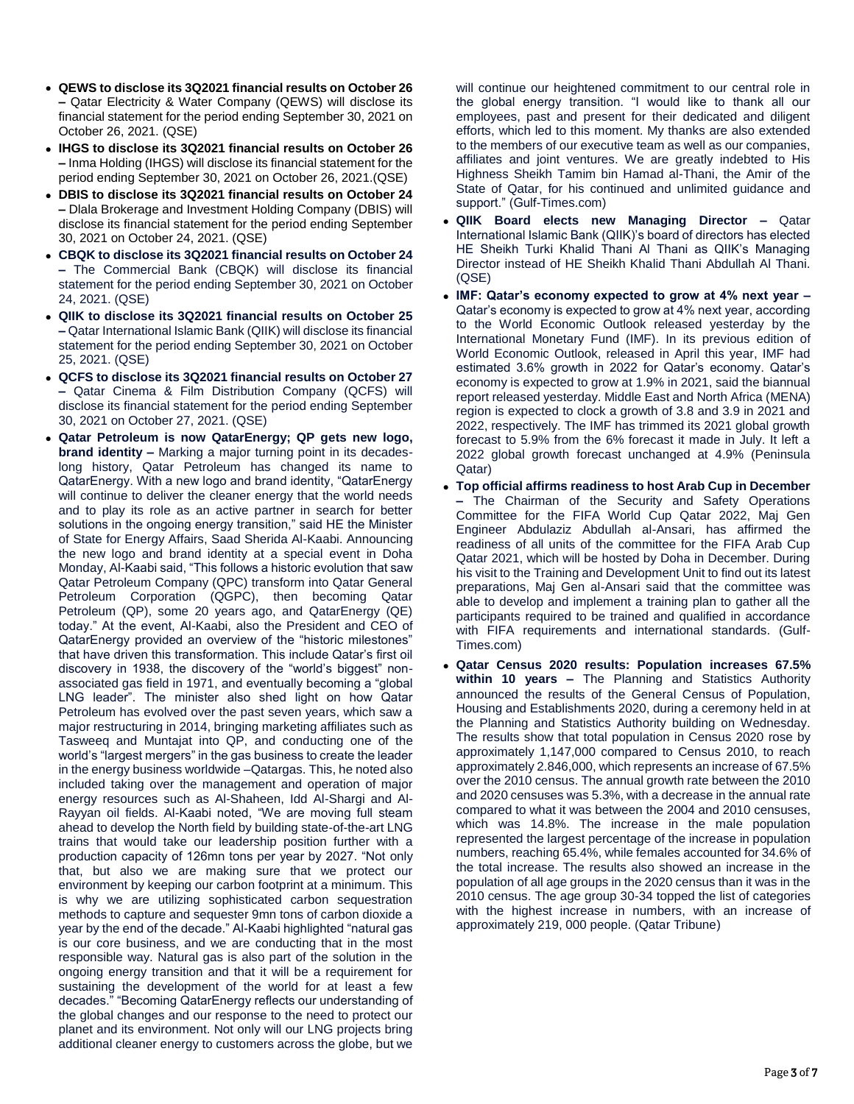- **QEWS to disclose its 3Q2021 financial results on October 26 –** Qatar Electricity & Water Company (QEWS) will disclose its financial statement for the period ending September 30, 2021 on October 26, 2021. (QSE)
- **IHGS to disclose its 3Q2021 financial results on October 26 –** Inma Holding (IHGS) will disclose its financial statement for the period ending September 30, 2021 on October 26, 2021.(QSE)
- **DBIS to disclose its 3Q2021 financial results on October 24 –** Dlala Brokerage and Investment Holding Company (DBIS) will disclose its financial statement for the period ending September 30, 2021 on October 24, 2021. (QSE)
- **CBQK to disclose its 3Q2021 financial results on October 24 –** The Commercial Bank (CBQK) will disclose its financial statement for the period ending September 30, 2021 on October 24, 2021. (QSE)
- **QIIK to disclose its 3Q2021 financial results on October 25 –** Qatar International Islamic Bank (QIIK) will disclose its financial statement for the period ending September 30, 2021 on October 25, 2021. (QSE)
- **QCFS to disclose its 3Q2021 financial results on October 27 –** Qatar Cinema & Film Distribution Company (QCFS) will disclose its financial statement for the period ending September 30, 2021 on October 27, 2021. (QSE)
- **Qatar Petroleum is now QatarEnergy; QP gets new logo, brand identity –** Marking a major turning point in its decadeslong history, Qatar Petroleum has changed its name to QatarEnergy. With a new logo and brand identity, "QatarEnergy will continue to deliver the cleaner energy that the world needs and to play its role as an active partner in search for better solutions in the ongoing energy transition," said HE the Minister of State for Energy Affairs, Saad Sherida Al-Kaabi. Announcing the new logo and brand identity at a special event in Doha Monday, Al-Kaabi said, "This follows a historic evolution that saw Qatar Petroleum Company (QPC) transform into Qatar General Petroleum Corporation (QGPC), then becoming Qatar Petroleum (QP), some 20 years ago, and QatarEnergy (QE) today." At the event, Al-Kaabi, also the President and CEO of QatarEnergy provided an overview of the "historic milestones" that have driven this transformation. This include Qatar's first oil discovery in 1938, the discovery of the "world's biggest" nonassociated gas field in 1971, and eventually becoming a "global LNG leader". The minister also shed light on how Qatar Petroleum has evolved over the past seven years, which saw a major restructuring in 2014, bringing marketing affiliates such as Tasweeq and Muntajat into QP, and conducting one of the world's "largest mergers" in the gas business to create the leader in the energy business worldwide –Qatargas. This, he noted also included taking over the management and operation of major energy resources such as Al-Shaheen, Idd Al-Shargi and Al-Rayyan oil fields. Al-Kaabi noted, "We are moving full steam ahead to develop the North field by building state-of-the-art LNG trains that would take our leadership position further with a production capacity of 126mn tons per year by 2027. "Not only that, but also we are making sure that we protect our environment by keeping our carbon footprint at a minimum. This is why we are utilizing sophisticated carbon sequestration methods to capture and sequester 9mn tons of carbon dioxide a year by the end of the decade." Al-Kaabi highlighted "natural gas is our core business, and we are conducting that in the most responsible way. Natural gas is also part of the solution in the ongoing energy transition and that it will be a requirement for sustaining the development of the world for at least a few decades." "Becoming QatarEnergy reflects our understanding of the global changes and our response to the need to protect our planet and its environment. Not only will our LNG projects bring additional cleaner energy to customers across the globe, but we

will continue our heightened commitment to our central role in the global energy transition. "I would like to thank all our employees, past and present for their dedicated and diligent efforts, which led to this moment. My thanks are also extended to the members of our executive team as well as our companies, affiliates and joint ventures. We are greatly indebted to His Highness Sheikh Tamim bin Hamad al-Thani, the Amir of the State of Qatar, for his continued and unlimited guidance and support." (Gulf-Times.com)

- **QIIK Board elects new Managing Director –** Qatar International Islamic Bank (QIIK)'s board of directors has elected HE Sheikh Turki Khalid Thani Al Thani as QIIK's Managing Director instead of HE Sheikh Khalid Thani Abdullah Al Thani. (QSE)
- **IMF: Qatar's economy expected to grow at 4% next year –** Qatar's economy is expected to grow at 4% next year, according to the World Economic Outlook released yesterday by the International Monetary Fund (IMF). In its previous edition of World Economic Outlook, released in April this year, IMF had estimated 3.6% growth in 2022 for Qatar's economy. Qatar's economy is expected to grow at 1.9% in 2021, said the biannual report released yesterday. Middle East and North Africa (MENA) region is expected to clock a growth of 3.8 and 3.9 in 2021 and 2022, respectively. The IMF has trimmed its 2021 global growth forecast to 5.9% from the 6% forecast it made in July. It left a 2022 global growth forecast unchanged at 4.9% (Peninsula Qatar)
- **Top official affirms readiness to host Arab Cup in December –** The Chairman of the Security and Safety Operations Committee for the FIFA World Cup Qatar 2022, Maj Gen Engineer Abdulaziz Abdullah al-Ansari, has affirmed the readiness of all units of the committee for the FIFA Arab Cup Qatar 2021, which will be hosted by Doha in December. During his visit to the Training and Development Unit to find out its latest preparations, Maj Gen al-Ansari said that the committee was able to develop and implement a training plan to gather all the participants required to be trained and qualified in accordance with FIFA requirements and international standards. (Gulf-Times.com)
- **Qatar Census 2020 results: Population increases 67.5% within 10 years –** The Planning and Statistics Authority announced the results of the General Census of Population, Housing and Establishments 2020, during a ceremony held in at the Planning and Statistics Authority building on Wednesday. The results show that total population in Census 2020 rose by approximately 1,147,000 compared to Census 2010, to reach approximately 2.846,000, which represents an increase of 67.5% over the 2010 census. The annual growth rate between the 2010 and 2020 censuses was 5.3%, with a decrease in the annual rate compared to what it was between the 2004 and 2010 censuses, which was 14.8%. The increase in the male population represented the largest percentage of the increase in population numbers, reaching 65.4%, while females accounted for 34.6% of the total increase. The results also showed an increase in the population of all age groups in the 2020 census than it was in the 2010 census. The age group 30-34 topped the list of categories with the highest increase in numbers, with an increase of approximately 219, 000 people. (Qatar Tribune)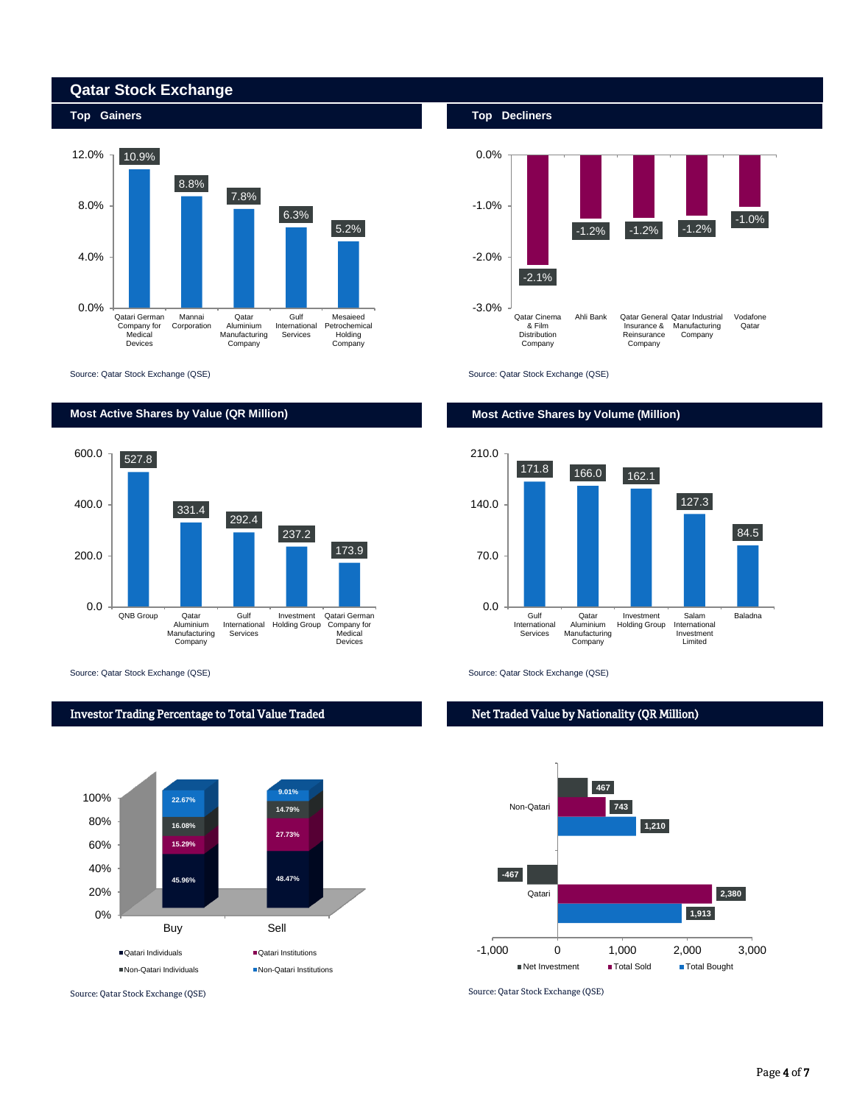

Source: Qatar Stock Exchange (QSE) Source: Qatar Stock Exchange (QSE)

**Qatar Stock Exchange** 



Source: Qatar Stock Exchange (QSE) Source: Qatar Stock Exchange (QSE)









# Net Traded Value by Nationality (QR Million)

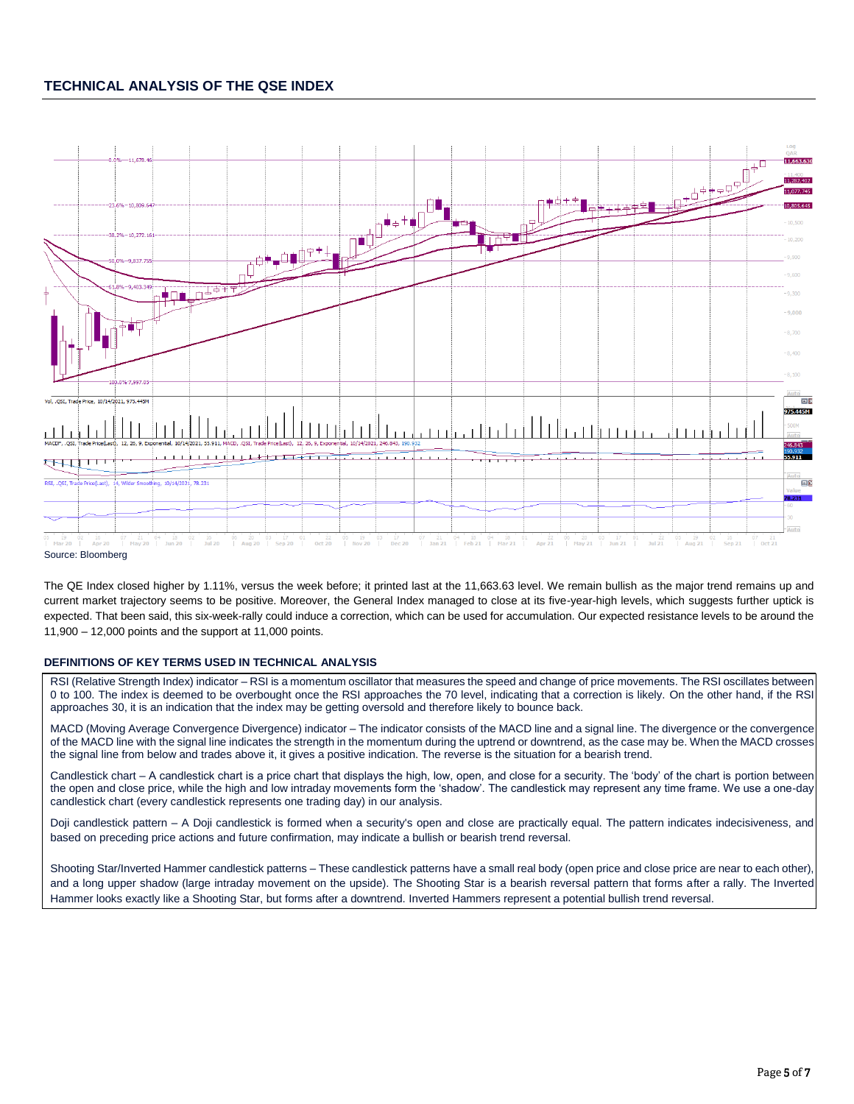# **TECHNICAL ANALYSIS OF THE QSE INDEX**



The QE Index closed higher by 1.11%, versus the week before; it printed last at the 11,663.63 level. We remain bullish as the major trend remains up and current market trajectory seems to be positive. Moreover, the General Index managed to close at its five-year-high levels, which suggests further uptick is expected. That been said, this six-week-rally could induce a correction, which can be used for accumulation. Our expected resistance levels to be around the 11,900 – 12,000 points and the support at 11,000 points.

## **DEFINITIONS OF KEY TERMS USED IN TECHNICAL ANALYSIS**

RSI (Relative Strength Index) indicator – RSI is a momentum oscillator that measures the speed and change of price movements. The RSI oscillates between 0 to 100. The index is deemed to be overbought once the RSI approaches the 70 level, indicating that a correction is likely. On the other hand, if the RSI approaches 30, it is an indication that the index may be getting oversold and therefore likely to bounce back.

MACD (Moving Average Convergence Divergence) indicator – The indicator consists of the MACD line and a signal line. The divergence or the convergence of the MACD line with the signal line indicates the strength in the momentum during the uptrend or downtrend, as the case may be. When the MACD crosses the signal line from below and trades above it, it gives a positive indication. The reverse is the situation for a bearish trend.

Candlestick chart – A candlestick chart is a price chart that displays the high, low, open, and close for a security. The 'body' of the chart is portion between the open and close price, while the high and low intraday movements form the 'shadow'. The candlestick may represent any time frame. We use a one-day candlestick chart (every candlestick represents one trading day) in our analysis.

Doji candlestick pattern – A Doji candlestick is formed when a security's open and close are practically equal. The pattern indicates indecisiveness, and based on preceding price actions and future confirmation, may indicate a bullish or bearish trend reversal.

Shooting Star/Inverted Hammer candlestick patterns – These candlestick patterns have a small real body (open price and close price are near to each other), and a long upper shadow (large intraday movement on the upside). The Shooting Star is a bearish reversal pattern that forms after a rally. The Inverted Hammer looks exactly like a Shooting Star, but forms after a downtrend. Inverted Hammers represent a potential bullish trend reversal.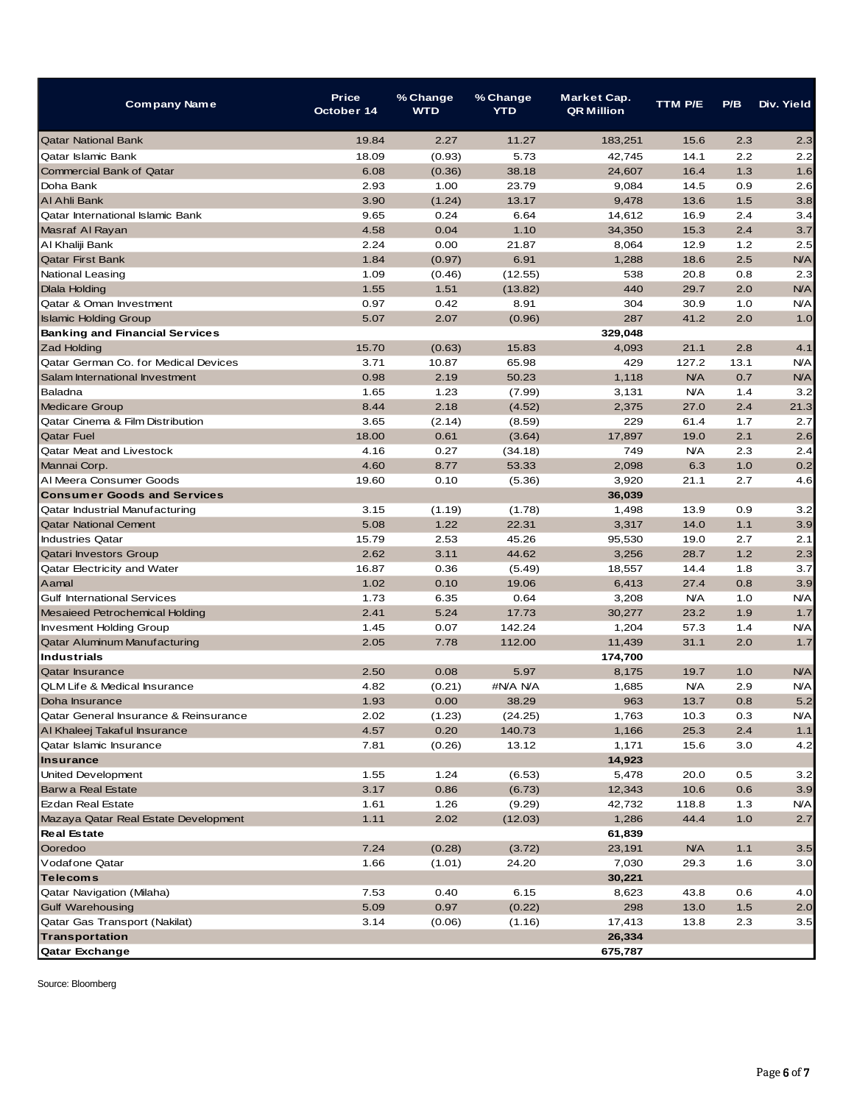| <b>Company Name</b>                     | <b>Price</b><br>October 14 | % Change<br><b>WTD</b> | % Change<br><b>YTD</b> | Market Cap.<br><b>QR Million</b> | <b>TTM P/E</b> | P/B   | Div. Yield |
|-----------------------------------------|----------------------------|------------------------|------------------------|----------------------------------|----------------|-------|------------|
| <b>Qatar National Bank</b>              | 19.84                      | 2.27                   | 11.27                  | 183,251                          | 15.6           | 2.3   | 2.3        |
| <b>Oatar Islamic Bank</b>               | 18.09                      | (0.93)                 | 5.73                   | 42,745                           | 14.1           | 2.2   | 2.2        |
| <b>Commercial Bank of Qatar</b>         | 6.08                       | (0.36)                 | 38.18                  | 24,607                           | 16.4           | 1.3   | 1.6        |
| Doha Bank                               | 2.93                       | 1.00                   | 23.79                  | 9,084                            | 14.5           | 0.9   | 2.6        |
| AI Ahli Bank                            | 3.90                       | (1.24)                 | 13.17                  | 9,478                            | 13.6           | 1.5   | 3.8        |
| Qatar International Islamic Bank        | 9.65                       | 0.24                   | 6.64                   | 14,612                           | 16.9           | 2.4   | 3.4        |
| Masraf Al Rayan                         | 4.58                       | 0.04                   | 1.10                   | 34,350                           | 15.3           | 2.4   | 3.7        |
| Al Khaliji Bank                         | 2.24                       | 0.00                   | 21.87                  | 8,064                            | 12.9           | 1.2   | 2.5        |
| <b>Qatar First Bank</b>                 | 1.84                       | (0.97)                 | 6.91                   | 1,288                            | 18.6           | 2.5   | <b>N/A</b> |
| National Leasing                        | 1.09                       | (0.46)                 | (12.55)                | 538                              | 20.8           | 0.8   | 2.3        |
| <b>Dlala Holding</b>                    | 1.55                       | 1.51                   | (13.82)                | 440                              | 29.7           | 2.0   | <b>N/A</b> |
| Qatar & Oman Investment                 | 0.97                       | 0.42                   | 8.91                   | 304                              | 30.9           | 1.0   | <b>N/A</b> |
| <b>Islamic Holding Group</b>            | 5.07                       | 2.07                   | (0.96)                 | 287                              | 41.2           | 2.0   | 1.0        |
| <b>Banking and Financial Services</b>   |                            |                        |                        | 329,048                          |                |       |            |
| <b>Zad Holding</b>                      | 15.70                      | (0.63)                 | 15.83                  | 4,093                            | 21.1           | 2.8   | 4.1        |
| Qatar German Co. for Medical Devices    | 3.71                       | 10.87                  | 65.98                  | 429                              | 127.2          | 13.1  | <b>N/A</b> |
| Salam International Investment          | 0.98                       | 2.19                   | 50.23                  | 1.118                            | <b>N/A</b>     | 0.7   | <b>N/A</b> |
| Baladna                                 | 1.65                       | 1.23                   | (7.99)                 | 3,131                            | <b>N/A</b>     | 1.4   | 3.2        |
| <b>Medicare Group</b>                   | 8.44                       | 2.18                   | (4.52)                 | 2,375                            | 27.0           | 2.4   | 21.3       |
| Qatar Cinema & Film Distribution        | 3.65                       | (2.14)                 | (8.59)                 | 229                              | 61.4           | 1.7   | 2.7        |
| <b>Qatar Fuel</b>                       | 18.00                      | 0.61                   | (3.64)                 | 17,897                           | 19.0           | 2.1   | 2.6        |
| <b>Qatar Meat and Livestock</b>         | 4.16                       | 0.27                   | (34.18)                | 749                              | N/A            | 2.3   | 2.4        |
| Mannai Corp.                            | 4.60                       | 8.77                   | 53.33                  | 2,098                            | 6.3            | 1.0   | 0.2        |
| Al Meera Consumer Goods                 | 19.60                      | 0.10                   | (5.36)                 | 3,920                            | 21.1           | 2.7   | 4.6        |
| <b>Consumer Goods and Services</b>      |                            |                        |                        | 36,039                           |                |       |            |
| Qatar Industrial Manufacturing          | 3.15                       | (1.19)                 | (1.78)                 | 1,498                            | 13.9           | 0.9   | 3.2        |
| <b>Qatar National Cement</b>            | 5.08                       | 1.22                   | 22.31                  | 3,317                            | 14.0           | 1.1   | 3.9        |
| <b>Industries Qatar</b>                 | 15.79                      | 2.53                   | 45.26                  | 95,530                           | 19.0           | 2.7   | 2.1        |
| <b>Qatari Investors Group</b>           | 2.62                       | 3.11                   | 44.62                  | 3,256                            | 28.7           | 1.2   | 2.3        |
| Qatar Electricity and Water             | 16.87                      | 0.36                   | (5.49)                 | 18,557                           | 14.4           | 1.8   | 3.7        |
| Aamal                                   | 1.02                       | 0.10                   | 19.06                  | 6,413                            | 27.4           | 0.8   | 3.9        |
| <b>Gulf International Services</b>      | 1.73                       | 6.35                   | 0.64                   | 3,208                            | <b>N/A</b>     | 1.0   | <b>N/A</b> |
| Mesaieed Petrochemical Holding          | 2.41                       | 5.24                   | 17.73                  | 30,277                           | 23.2           | 1.9   | 1.7        |
| <b>Invesment Holding Group</b>          | 1.45                       | 0.07                   | 142.24                 | 1,204                            | 57.3           | 1.4   | <b>N/A</b> |
| Qatar Aluminum Manufacturing            | 2.05                       | 7.78                   | 112.00                 | 11,439                           | 31.1           | 2.0   | 1.7        |
| <b>Industrials</b>                      |                            |                        |                        | 174,700                          |                |       |            |
| <b>Qatar Insurance</b>                  | 2.50                       | 0.08                   | 5.97                   | 8,175                            | 19.7           | 1.0   | <b>N/A</b> |
| <b>QLM Life &amp; Medical Insurance</b> | 4.82                       | (0.21)                 | #N/A N/A               | 1,685                            | <b>N/A</b>     | 2.9   | <b>N/A</b> |
| Doha Insurance                          | 1.93                       | 0.00                   | 38.29                  | 963                              | 13.7           | 0.8   | 5.2        |
| Qatar General Insurance & Reinsurance   | 2.02                       | (1.23)                 | (24.25)                | 1,763                            | 10.3           | 0.3   | N/A        |
| Al Khaleej Takaful Insurance            | 4.57                       | 0.20                   | 140.73                 | 1,166                            | 25.3           | 2.4   | $1.1$      |
| Qatar Islamic Insurance                 | 7.81                       | (0.26)                 | 13.12                  | 1,171                            | 15.6           | 3.0   | 4.2        |
| <b>Insurance</b>                        |                            |                        |                        | 14,923                           |                |       |            |
| United Development                      | 1.55                       | 1.24                   | (6.53)                 | 5,478                            | 20.0           | 0.5   | 3.2        |
| Barw a Real Estate                      | 3.17                       | 0.86                   | (6.73)                 | 12,343                           | 10.6           | 0.6   | 3.9        |
| Ezdan Real Estate                       | 1.61                       | 1.26                   | (9.29)                 | 42,732                           | 118.8          | 1.3   | ΝA         |
| Mazaya Qatar Real Estate Development    | 1.11                       | 2.02                   | (12.03)                | 1,286                            | 44.4           | $1.0$ | 2.7        |
| <b>Real Estate</b>                      |                            |                        |                        | 61,839                           |                |       |            |
| Ooredoo                                 | 7.24                       | (0.28)                 |                        | 23,191                           | <b>N/A</b>     | 1.1   | 3.5        |
|                                         |                            |                        | (3.72)                 |                                  |                |       | 3.0        |
| Vodafone Qatar<br><b>Telecoms</b>       | 1.66                       | (1.01)                 | 24.20                  | 7,030                            | 29.3           | 1.6   |            |
|                                         |                            |                        |                        | 30,221                           |                |       |            |
| Qatar Navigation (Milaha)               | 7.53                       | 0.40                   | 6.15                   | 8,623                            | 43.8           | 0.6   | 4.0        |
| <b>Gulf Warehousing</b>                 | 5.09                       | 0.97                   | (0.22)                 | 298                              | 13.0           | $1.5$ | 2.0        |
| Qatar Gas Transport (Nakilat)           | 3.14                       | (0.06)                 | (1.16)                 | 17,413                           | 13.8           | 2.3   | 3.5        |
| Transportation                          |                            |                        |                        | 26,334                           |                |       |            |
| Qatar Exchange                          |                            |                        |                        | 675,787                          |                |       |            |

Source: Bloomberg